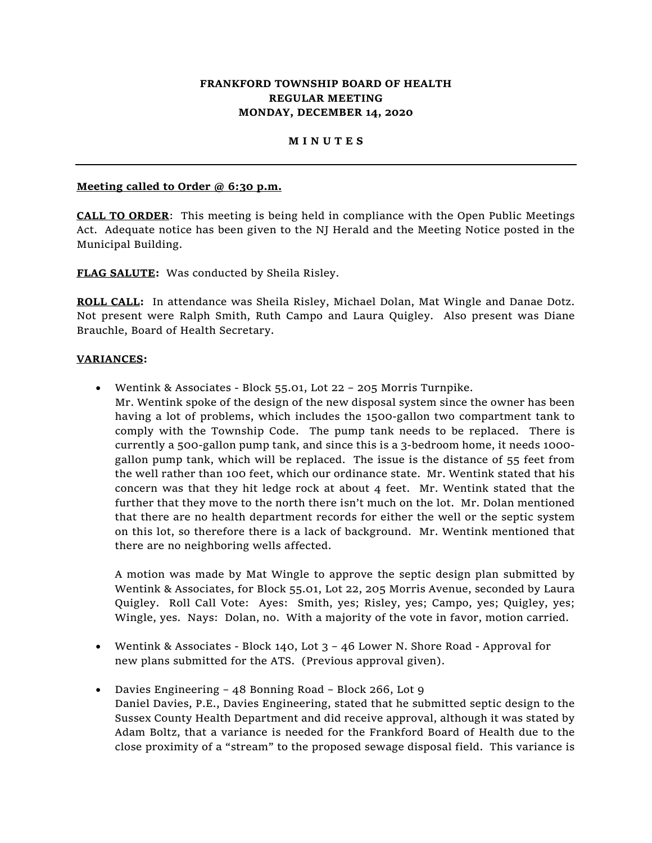# **FRANKFORD TOWNSHIP BOARD OF HEALTH REGULAR MEETING MONDAY, DECEMBER 14, 2020**

### **M I N U T E S**

### **Meeting called to Order @ 6:30 p.m.**

**CALL TO ORDER**: This meeting is being held in compliance with the Open Public Meetings Act. Adequate notice has been given to the NJ Herald and the Meeting Notice posted in the Municipal Building.

**FLAG SALUTE:** Was conducted by Sheila Risley.

**ROLL CALL:** In attendance was Sheila Risley, Michael Dolan, Mat Wingle and Danae Dotz. Not present were Ralph Smith, Ruth Campo and Laura Quigley. Also present was Diane Brauchle, Board of Health Secretary.

### **VARIANCES:**

• Wentink & Associates - Block 55.01, Lot 22 – 205 Morris Turnpike. Mr. Wentink spoke of the design of the new disposal system since the owner has been having a lot of problems, which includes the 1500-gallon two compartment tank to comply with the Township Code. The pump tank needs to be replaced. There is currently a 500-gallon pump tank, and since this is a 3-bedroom home, it needs 1000 gallon pump tank, which will be replaced. The issue is the distance of 55 feet from the well rather than 100 feet, which our ordinance state. Mr. Wentink stated that his concern was that they hit ledge rock at about 4 feet. Mr. Wentink stated that the further that they move to the north there isn't much on the lot. Mr. Dolan mentioned that there are no health department records for either the well or the septic system on this lot, so therefore there is a lack of background. Mr. Wentink mentioned that there are no neighboring wells affected.

A motion was made by Mat Wingle to approve the septic design plan submitted by Wentink & Associates, for Block 55.01, Lot 22, 205 Morris Avenue, seconded by Laura Quigley. Roll Call Vote: Ayes: Smith, yes; Risley, yes; Campo, yes; Quigley, yes; Wingle, yes. Nays: Dolan, no. With a majority of the vote in favor, motion carried.

- Wentink & Associates Block 140, Lot 3 46 Lower N. Shore Road Approval for new plans submitted for the ATS. (Previous approval given).
- Davies Engineering 48 Bonning Road Block 266, Lot 9 Daniel Davies, P.E., Davies Engineering, stated that he submitted septic design to the Sussex County Health Department and did receive approval, although it was stated by Adam Boltz, that a variance is needed for the Frankford Board of Health due to the close proximity of a "stream" to the proposed sewage disposal field. This variance is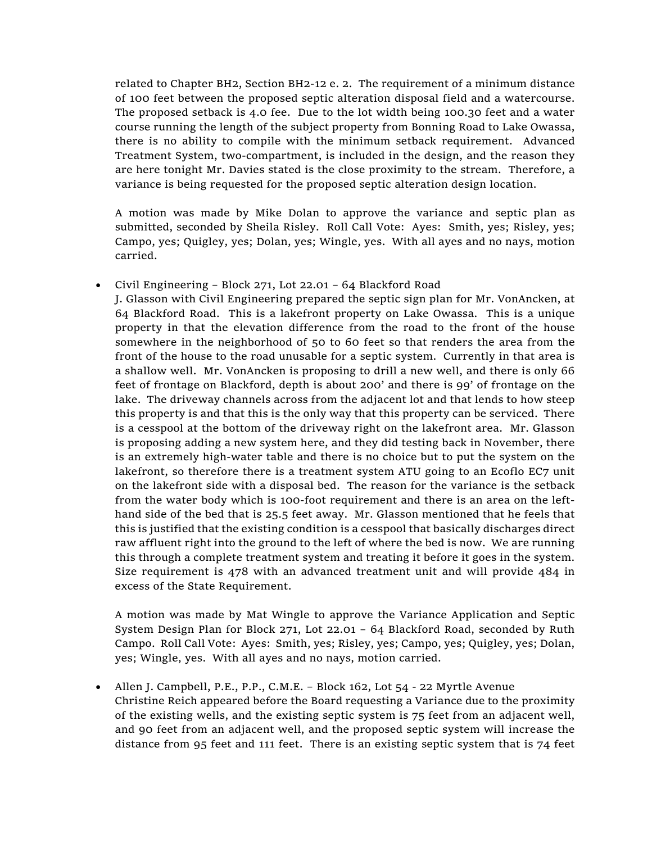related to Chapter BH2, Section BH2-12 e. 2. The requirement of a minimum distance of 100 feet between the proposed septic alteration disposal field and a watercourse. The proposed setback is 4.0 fee. Due to the lot width being 100.30 feet and a water course running the length of the subject property from Bonning Road to Lake Owassa, there is no ability to compile with the minimum setback requirement. Advanced Treatment System, two-compartment, is included in the design, and the reason they are here tonight Mr. Davies stated is the close proximity to the stream. Therefore, a variance is being requested for the proposed septic alteration design location.

A motion was made by Mike Dolan to approve the variance and septic plan as submitted, seconded by Sheila Risley. Roll Call Vote: Ayes: Smith, yes; Risley, yes; Campo, yes; Quigley, yes; Dolan, yes; Wingle, yes. With all ayes and no nays, motion carried.

## • Civil Engineering – Block 271, Lot 22.01 – 64 Blackford Road

J. Glasson with Civil Engineering prepared the septic sign plan for Mr. VonAncken, at 64 Blackford Road. This is a lakefront property on Lake Owassa. This is a unique property in that the elevation difference from the road to the front of the house somewhere in the neighborhood of 50 to 60 feet so that renders the area from the front of the house to the road unusable for a septic system. Currently in that area is a shallow well. Mr. VonAncken is proposing to drill a new well, and there is only 66 feet of frontage on Blackford, depth is about 200' and there is 99' of frontage on the lake. The driveway channels across from the adjacent lot and that lends to how steep this property is and that this is the only way that this property can be serviced. There is a cesspool at the bottom of the driveway right on the lakefront area. Mr. Glasson is proposing adding a new system here, and they did testing back in November, there is an extremely high-water table and there is no choice but to put the system on the lakefront, so therefore there is a treatment system ATU going to an Ecoflo EC7 unit on the lakefront side with a disposal bed. The reason for the variance is the setback from the water body which is 100-foot requirement and there is an area on the lefthand side of the bed that is 25.5 feet away. Mr. Glasson mentioned that he feels that this is justified that the existing condition is a cesspool that basically discharges direct raw affluent right into the ground to the left of where the bed is now. We are running this through a complete treatment system and treating it before it goes in the system. Size requirement is 478 with an advanced treatment unit and will provide 484 in excess of the State Requirement.

A motion was made by Mat Wingle to approve the Variance Application and Septic System Design Plan for Block 271, Lot 22.01 – 64 Blackford Road, seconded by Ruth Campo. Roll Call Vote: Ayes: Smith, yes; Risley, yes; Campo, yes; Quigley, yes; Dolan, yes; Wingle, yes. With all ayes and no nays, motion carried.

• Allen J. Campbell, P.E., P.P., C.M.E. - Block 162, Lot 54 - 22 Myrtle Avenue Christine Reich appeared before the Board requesting a Variance due to the proximity of the existing wells, and the existing septic system is 75 feet from an adjacent well, and 90 feet from an adjacent well, and the proposed septic system will increase the distance from 95 feet and 111 feet. There is an existing septic system that is 74 feet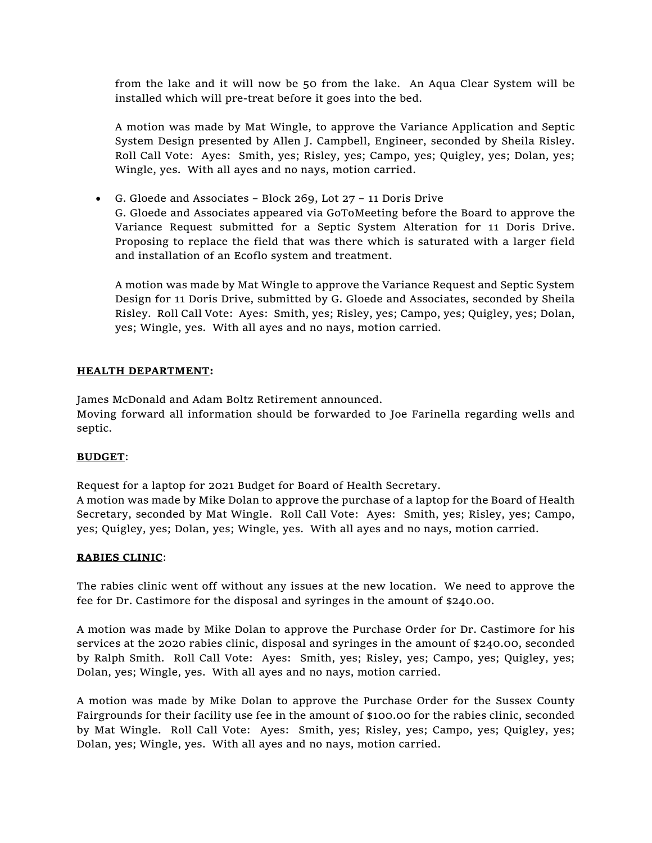from the lake and it will now be 50 from the lake. An Aqua Clear System will be installed which will pre-treat before it goes into the bed.

A motion was made by Mat Wingle, to approve the Variance Application and Septic System Design presented by Allen J. Campbell, Engineer, seconded by Sheila Risley. Roll Call Vote: Ayes: Smith, yes; Risley, yes; Campo, yes; Quigley, yes; Dolan, yes; Wingle, yes. With all ayes and no nays, motion carried.

• G. Gloede and Associates – Block 269, Lot 27 – 11 Doris Drive

G. Gloede and Associates appeared via GoToMeeting before the Board to approve the Variance Request submitted for a Septic System Alteration for 11 Doris Drive. Proposing to replace the field that was there which is saturated with a larger field and installation of an Ecoflo system and treatment.

A motion was made by Mat Wingle to approve the Variance Request and Septic System Design for 11 Doris Drive, submitted by G. Gloede and Associates, seconded by Sheila Risley. Roll Call Vote: Ayes: Smith, yes; Risley, yes; Campo, yes; Quigley, yes; Dolan, yes; Wingle, yes. With all ayes and no nays, motion carried.

## **HEALTH DEPARTMENT:**

James McDonald and Adam Boltz Retirement announced.

Moving forward all information should be forwarded to Joe Farinella regarding wells and septic.

## **BUDGET**:

Request for a laptop for 2021 Budget for Board of Health Secretary.

A motion was made by Mike Dolan to approve the purchase of a laptop for the Board of Health Secretary, seconded by Mat Wingle. Roll Call Vote: Ayes: Smith, yes; Risley, yes; Campo, yes; Quigley, yes; Dolan, yes; Wingle, yes. With all ayes and no nays, motion carried.

#### **RABIES CLINIC**:

The rabies clinic went off without any issues at the new location. We need to approve the fee for Dr. Castimore for the disposal and syringes in the amount of \$240.00.

A motion was made by Mike Dolan to approve the Purchase Order for Dr. Castimore for his services at the 2020 rabies clinic, disposal and syringes in the amount of \$240.00, seconded by Ralph Smith. Roll Call Vote: Ayes: Smith, yes; Risley, yes; Campo, yes; Quigley, yes; Dolan, yes; Wingle, yes. With all ayes and no nays, motion carried.

A motion was made by Mike Dolan to approve the Purchase Order for the Sussex County Fairgrounds for their facility use fee in the amount of \$100.00 for the rabies clinic, seconded by Mat Wingle. Roll Call Vote: Ayes: Smith, yes; Risley, yes; Campo, yes; Quigley, yes; Dolan, yes; Wingle, yes. With all ayes and no nays, motion carried.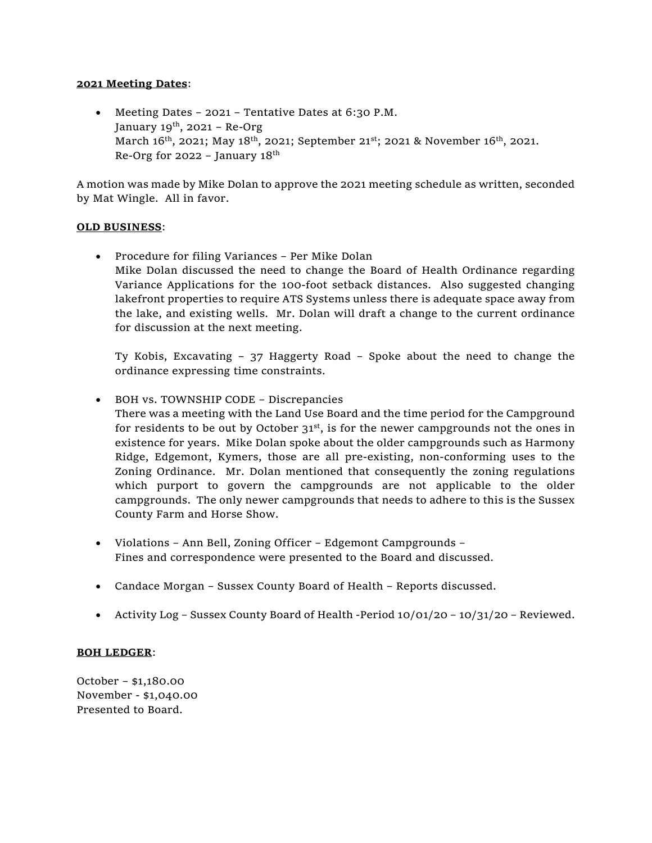### **2021 Meeting Dates**:

• Meeting Dates – 2021 – Tentative Dates at 6:30 P.M. January  $19^{th}$ , 2021 – Re-Org March 16<sup>th</sup>, 2021; May 18<sup>th</sup>, 2021; September 21<sup>st</sup>; 2021 & November 16<sup>th</sup>, 2021. Re-Org for 2022 – January  $18<sup>th</sup>$ 

A motion was made by Mike Dolan to approve the 2021 meeting schedule as written, seconded by Mat Wingle. All in favor.

## **OLD BUSINESS**:

• Procedure for filing Variances – Per Mike Dolan Mike Dolan discussed the need to change the Board of Health Ordinance regarding Variance Applications for the 100-foot setback distances. Also suggested changing lakefront properties to require ATS Systems unless there is adequate space away from the lake, and existing wells. Mr. Dolan will draft a change to the current ordinance for discussion at the next meeting.

Ty Kobis, Excavating – 37 Haggerty Road – Spoke about the need to change the ordinance expressing time constraints.

- BOH vs. TOWNSHIP CODE Discrepancies There was a meeting with the Land Use Board and the time period for the Campground for residents to be out by October  $31<sup>st</sup>$ , is for the newer campgrounds not the ones in existence for years. Mike Dolan spoke about the older campgrounds such as Harmony Ridge, Edgemont, Kymers, those are all pre-existing, non-conforming uses to the Zoning Ordinance. Mr. Dolan mentioned that consequently the zoning regulations which purport to govern the campgrounds are not applicable to the older campgrounds. The only newer campgrounds that needs to adhere to this is the Sussex County Farm and Horse Show.
- Violations Ann Bell, Zoning Officer Edgemont Campgrounds Fines and correspondence were presented to the Board and discussed.
- Candace Morgan Sussex County Board of Health Reports discussed.
- Activity Log Sussex County Board of Health -Period 10/01/20 10/31/20 Reviewed.

## **BOH LEDGER**:

October – \$1,180.00 November - \$1,040.00 Presented to Board.